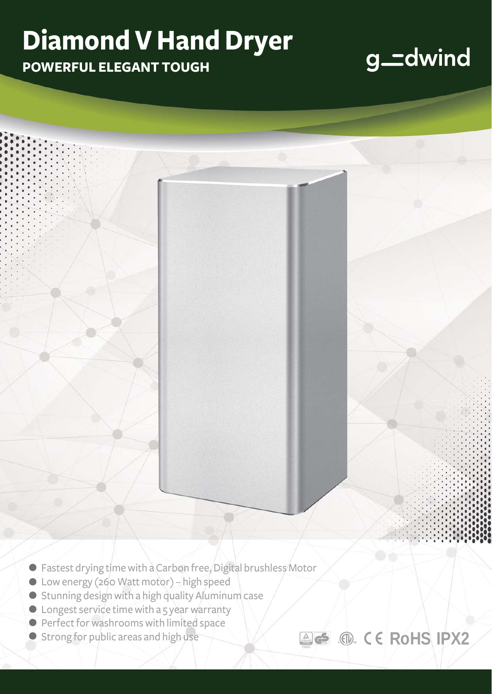## **Diamond V Hand Dryer**

**POWERFUL ELEGANT TOUGH**

### g\_dwind

**. RoHS IPX2**

- Fastest drying time with a Carbon free, Digital brushless Motor<br>● Low energy (260 Watt motor) high speed<br>● Stunning design with a high quality Aluminum case **. .**
- Low energy (260 Watt motor) high speed
- Stunning design with a high quality Aluminum case<br>● Longest service time with a 5 year warranty<br>● Perfect for washrooms with limited space
- **C** Longest service time with a 5 year warranty **.**
- **Perfect for washrooms with limited space**
- **Strong for public areas and high use**